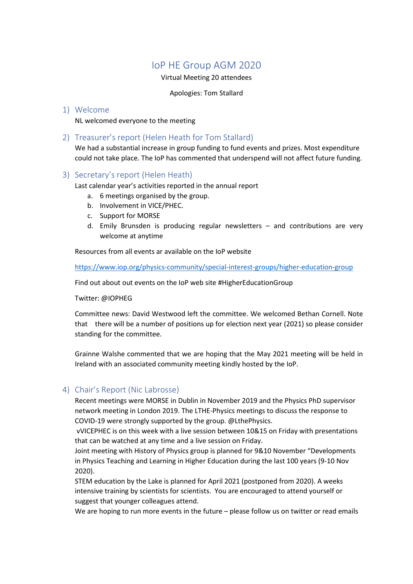# IoP HE Group AGM 2020

Virtual Meeting 20 attendees

Apologies: Tom Stallard

## 1) Welcome

NL welcomed everyone to the meeting

# 2) Treasurer's report (Helen Heath for Tom Stallard)

We had a substantial increase in group funding to fund events and prizes. Most expenditure could not take place. The IoP has commented that underspend will not affect future funding.

### 3) Secretary's report (Helen Heath)

Last calendar year's activities reported in the annual report

- a. 6 meetings organised by the group.
- b. Involvement in VICE/PHEC.
- c. Support for MORSE
- d. Emily Brunsden is producing regular newsletters and contributions are very welcome at anytime

Resources from all events ar available on the IoP website

<https://www.iop.org/physics-community/special-interest-groups/higher-education-group>

Find out about out events on the IoP web site #HigherEducationGroup

Twitter: @IOPHEG

Committee news: David Westwood left the committee. We welcomed Bethan Cornell. Note that there will be a number of positions up for election next year (2021) so please consider standing for the committee.

Grainne Walshe commented that we are hoping that the May 2021 meeting will be held in Ireland with an associated community meeting kindly hosted by the IoP.

# 4) Chair's Report (Nic Labrosse)

Recent meetings were MORSE in Dublin in November 2019 and the Physics PhD supervisor network meeting in London 2019. The LTHE-Physics meetings to discuss the response to COVID-19 were strongly supported by the group. @LthePhysics.

vVICEPHEC is on this week with a live session between 10&15 on Friday with presentations that can be watched at any time and a live session on Friday.

Joint meeting with History of Physics group is planned for 9&10 November "Developments in Physics Teaching and Learning in Higher Education during the last 100 years (9-10 Nov 2020).

STEM education by the Lake is planned for April 2021 (postponed from 2020). A weeks intensive training by scientists for scientists. You are encouraged to attend yourself or suggest that younger colleagues attend.

We are hoping to run more events in the future – please follow us on twitter or read emails